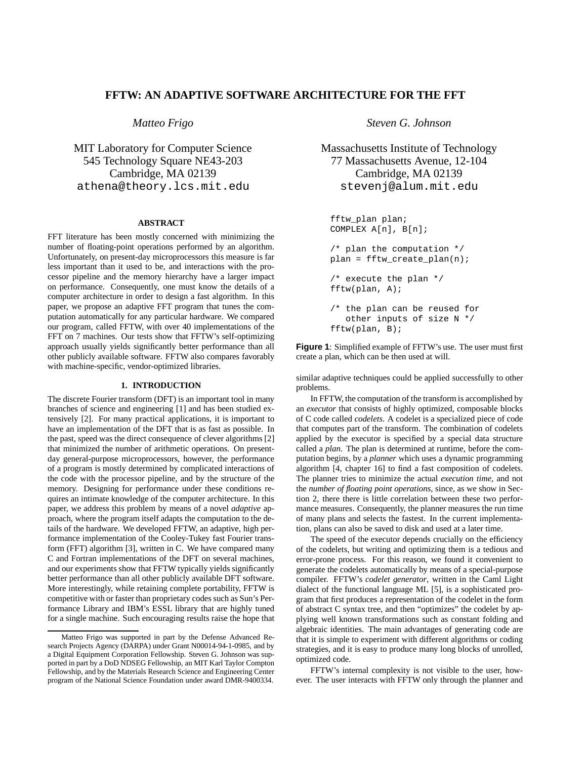# **FFTW: AN ADAPTIVE SOFTWARE ARCHITECTURE FOR THE FFT**

*Matteo Frigo*

MIT Laboratory for Computer Science 545 Technology Square NE43-203 Cambridge, MA 02139 athena@theory.lcs.mit.edu

## **ABSTRACT**

FFT literature has been mostly concerned with minimizing the number of floating-point operations performed by an algorithm. Unfortunately, on present-day microprocessors this measure is far less important than it used to be, and interactions with the processor pipeline and the memory hierarchy have a larger impact on performance. Consequently, one must know the details of a computer architecture in order to design a fast algorithm. In this paper, we propose an adaptive FFT program that tunes the computation automatically for any particular hardware. We compared our program, called FFTW, with over 40 implementations of the FFT on 7 machines. Our tests show that FFTW's self-optimizing approach usually yields significantly better performance than all other publicly available software. FFTW also compares favorably with machine-specific, vendor-optimized libraries.

#### **1. INTRODUCTION**

The discrete Fourier transform (DFT) is an important tool in many branches of science and engineering [1] and has been studied extensively [2]. For many practical applications, it is important to have an implementation of the DFT that is as fast as possible. In the past, speed was the direct consequence of clever algorithms [2] that minimized the number of arithmetic operations. On presentday general-purpose microprocessors, however, the performance of a program is mostly determined by complicated interactions of the code with the processor pipeline, and by the structure of the memory. Designing for performance under these conditions requires an intimate knowledge of the computer architecture. In this paper, we address this problem by means of a novel *adaptive* approach, where the program itself adapts the computation to the details of the hardware. We developed FFTW, an adaptive, high performance implementation of the Cooley-Tukey fast Fourier transform (FFT) algorithm [3], written in C. We have compared many C and Fortran implementations of the DFT on several machines, and our experiments show that FFTW typically yields significantly better performance than all other publicly available DFT software. More interestingly, while retaining complete portability, FFTW is competitive with or faster than proprietary codes such as Sun's Performance Library and IBM's ESSL library that are highly tuned for a single machine. Such encouraging results raise the hope that

*Steven G. Johnson*

Massachusetts Institute of Technology 77 Massachusetts Avenue, 12-104 Cambridge, MA 02139 stevenj@alum.mit.edu

```
fftw_plan plan;
COMPLEX A[n], B[n];
/* plan the computation */
plan = fftw_create_plan(n);
/* execute the plan */
fftw(plan, A);
/* the plan can be reused for
   other inputs of size N */
fftw(plan, B);
```
**Figure 1**: Simplified example of FFTW's use. The user must first create a plan, which can be then used at will.

similar adaptive techniques could be applied successfully to other problems.

In FFTW, the computation of the transform is accomplished by an *executor* that consists of highly optimized, composable blocks of C code called *codelets*. A codelet is a specialized piece of code that computes part of the transform. The combination of codelets applied by the executor is specified by a special data structure called a *plan*. The plan is determined at runtime, before the computation begins, by a *planner* which uses a dynamic programming algorithm [4, chapter 16] to find a fast composition of codelets. The planner tries to minimize the actual *execution time*, and not the *number of floating point operations*, since, as we show in Section 2, there there is little correlation between these two performance measures. Consequently, the planner measures the run time of many plans and selects the fastest. In the current implementation, plans can also be saved to disk and used at a later time.

The speed of the executor depends crucially on the efficiency of the codelets, but writing and optimizing them is a tedious and error-prone process. For this reason, we found it convenient to generate the codelets automatically by means of a special-purpose compiler. FFTW's *codelet generator*, written in the Caml Light dialect of the functional language ML [5], is a sophisticated program that first produces a representation of the codelet in the form of abstract C syntax tree, and then "optimizes" the codelet by applying well known transformations such as constant folding and algebraic identities. The main advantages of generating code are that it is simple to experiment with different algorithms or coding strategies, and it is easy to produce many long blocks of unrolled, optimized code.

FFTW's internal complexity is not visible to the user, however. The user interacts with FFTW only through the planner and

Matteo Frigo was supported in part by the Defense Advanced Research Projects Agency (DARPA) under Grant N00014-94-1-0985, and by a Digital Equipment Corporation Fellowship. Steven G. Johnson was supported in part by a DoD NDSEG Fellowship, an MIT Karl Taylor Compton Fellowship, and by the Materials Research Science and Engineering Center program of the National Science Foundation under award DMR-9400334.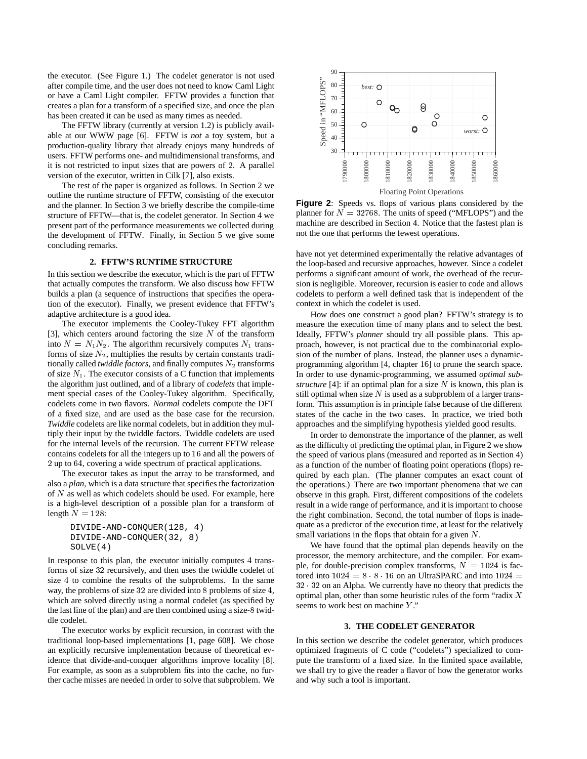the executor. (See Figure 1.) The codelet generator is not used after compile time, and the user does not need to know Caml Light or have a Caml Light compiler. FFTW provides a function that creates a plan for a transform of a specified size, and once the plan has been created it can be used as many times as needed.

The FFTW library (currently at version 1.2) is publicly available at our WWW page [6]. FFTW is *not* a toy system, but a production-quality library that already enjoys many hundreds of users. FFTW performs one- and multidimensional transforms, and it is not restricted to input sizes that are powers of <sup>2</sup>. A parallel version of the executor, written in Cilk [7], also exists.

The rest of the paper is organized as follows. In Section 2 we outline the runtime structure of FFTW, consisting of the executor and the planner. In Section 3 we briefly describe the compile-time structure of FFTW—that is, the codelet generator. In Section 4 we present part of the performance measurements we collected during the development of FFTW. Finally, in Section 5 we give some concluding remarks.

#### **2. FFTW'S RUNTIME STRUCTURE**

In this section we describe the executor, which is the part of FFTW that actually computes the transform. We also discuss how FFTW builds a plan (a sequence of instructions that specifies the operation of the executor). Finally, we present evidence that FFTW's adaptive architecture is a good idea.

The executor implements the Cooley-Tukey FFT algorithm [3], which centers around factoring the size  $N$  of the transform into  $N = N_1 N_2$ . The algorithm recursively computes  $N_1$  transforms of size  $N_2$ , multiplies the results by certain constants traditionally called *twiddle factors*, and finally computes  $N_2$  transforms of size  $N_1$ . The executor consists of a C function that implements the algorithm just outlined, and of a library of *codelets* that implement special cases of the Cooley-Tukey algorithm. Specifically, codelets come in two flavors. *Normal* codelets compute the DFT of a fixed size, and are used as the base case for the recursion. *Twiddle* codelets are like normal codelets, but in addition they multiply their input by the twiddle factors. Twiddle codelets are used for the internal levels of the recursion. The current FFTW release contains codelets for all the integers up to <sup>16</sup> and all the powers of 2 up to <sup>64</sup>, covering a wide spectrum of practical applications.

The executor takes as input the array to be transformed, and also a *plan*, which is a data structure that specifies the factorization of  $N$  as well as which codelets should be used. For example, here is a high-level description of a possible plan for a transform of length  $N = 128$ :

```
DIVIDE-AND-CONQUER(128, 4)
DIVIDE-AND-CONQUER(32, 8)
SOLVE(4)
```
In response to this plan, the executor initially computes <sup>4</sup> transforms of size <sup>32</sup> recursively, and then uses the twiddle codelet of size <sup>4</sup> to combine the results of the subproblems. In the same way, the problems of size <sup>32</sup> are divided into <sup>8</sup> problems of size <sup>4</sup>, which are solved directly using a normal codelet (as specified by the last line of the plan) and are then combined using a size-<sup>8</sup> twiddle codelet.

The executor works by explicit recursion, in contrast with the traditional loop-based implementations [1, page 608]. We chose an explicitly recursive implementation because of theoretical evidence that divide-and-conquer algorithms improve locality [8]. For example, as soon as a subproblem fits into the cache, no further cache misses are needed in order to solve that subproblem. We



**Figure 2**: Speeds vs. flops of various plans considered by the planner for  $N = 32768$ . The units of speed ("MFLOPS") and the machine are described in Section 4. Notice that the fastest plan is not the one that performs the fewest operations.

have not yet determined experimentally the relative advantages of the loop-based and recursive approaches, however. Since a codelet performs a significant amount of work, the overhead of the recursion is negligible. Moreover, recursion is easier to code and allows codelets to perform a well defined task that is independent of the context in which the codelet is used.

How does one construct a good plan? FFTW's strategy is to measure the execution time of many plans and to select the best. Ideally, FFTW's *planner* should try all possible plans. This approach, however, is not practical due to the combinatorial explosion of the number of plans. Instead, the planner uses a dynamicprogramming algorithm [4, chapter 16] to prune the search space. In order to use dynamic-programming, we assumed *optimal substructure* [4]: if an optimal plan for a size  $N$  is known, this plan is still optimal when size  $N$  is used as a subproblem of a larger transform. This assumption is in principle false because of the different states of the cache in the two cases. In practice, we tried both approaches and the simplifying hypothesis yielded good results.

In order to demonstrate the importance of the planner, as well as the difficulty of predicting the optimal plan, in Figure 2 we show the speed of various plans (measured and reported as in Section 4) as a function of the number of floating point operations (flops) required by each plan. (The planner computes an exact count of the operations.) There are two important phenomena that we can observe in this graph. First, different compositions of the codelets result in a wide range of performance, and it is important to choose the right combination. Second, the total number of flops is inadequate as a predictor of the execution time, at least for the relatively small variations in the flops that obtain for a given  $N$ .

We have found that the optimal plan depends heavily on the processor, the memory architecture, and the compiler. For example, for double-precision complex transforms,  $N = 1024$  is factored into  $1024 = 8 \cdot 8 \cdot 16$  on an UltraSPARC and into  $1024=$ 32 <sup>32</sup> on an Alpha. We currently have no theory that predicts the optimal plan, other than some heuristic rules of the form "radix  $X$ seems to work best on machine Y."

#### **3. THE CODELET GENERATOR**

In this section we describe the codelet generator, which produces optimized fragments of C code ("codelets") specialized to compute the transform of a fixed size. In the limited space available, we shall try to give the reader a flavor of how the generator works and why such a tool is important.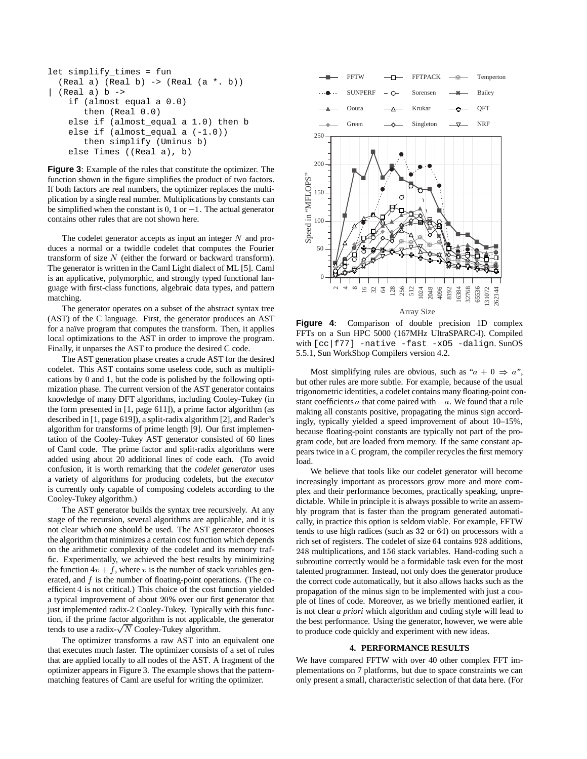```
let simplify_times = fun
  (Real a) (Real b) \rightarrow (Real (a * b))(Real a) b \rightarrowif (almost_equal a 0.0)
       then (Real 0.0)
    else if (almost_equal a 1.0) then b
    else if (almost_equal a (-1.0))
       then simplify (Uminus b)
    else Times ((Real a), b)
```
**Figure 3**: Example of the rules that constitute the optimizer. The function shown in the figure simplifies the product of two factors. If both factors are real numbers, the optimizer replaces the multiplication by a single real number. Multiplications by constants can be simplified when the constant is  $0, 1$  or  $-1$ . The actual generator contains other rules that are not shown here.

The codelet generator accepts as input an integer  $N$  and produces a normal or a twiddle codelet that computes the Fourier transform of size  $N$  (either the forward or backward transform). The generator is written in the Caml Light dialect of ML [5]. Caml is an applicative, polymorphic, and strongly typed functional language with first-class functions, algebraic data types, and pattern matching.

The generator operates on a subset of the abstract syntax tree (AST) of the C language. First, the generator produces an AST for a naïve program that computes the transform. Then, it applies local optimizations to the AST in order to improve the program. Finally, it unparses the AST to produce the desired C code.

The AST generation phase creates a crude AST for the desired codelet. This AST contains some useless code, such as multiplications by <sup>0</sup> and <sup>1</sup>, but the code is polished by the following optimization phase. The current version of the AST generator contains knowledge of many DFT algorithms, including Cooley-Tukey (in the form presented in [1, page 611]), a prime factor algorithm (as described in [1, page 619]), a split-radix algorithm [2], and Rader's algorithm for transforms of prime length [9]. Our first implementation of the Cooley-Tukey AST generator consisted of 60 lines of Caml code. The prime factor and split-radix algorithms were added using about 20 additional lines of code each. (To avoid confusion, it is worth remarking that the *codelet generator* uses a variety of algorithms for producing codelets, but the *executor* is currently only capable of composing codelets according to the Cooley-Tukey algorithm.)

The AST generator builds the syntax tree recursively. At any stage of the recursion, several algorithms are applicable, and it is not clear which one should be used. The AST generator chooses the algorithm that minimizes a certain cost function which depends on the arithmetic complexity of the codelet and its memory traffic. Experimentally, we achieved the best results by minimizing the function  $4v + f$ , where v is the number of stack variables generated, and  $f$  is the number of floating-point operations. (The coefficient <sup>4</sup> is not critical.) This choice of the cost function yielded a typical improvement of about <sup>20</sup>% over our first generator that just implemented radix-2 Cooley-Tukey. Typically with this function, if the prime factor algorithm is not applicable, the generator tends to use a radix- $\sqrt{N}$  Cooley-Tukey algorithm.

The optimizer transforms a raw AST into an equivalent one that executes much faster. The optimizer consists of a set of rules that are applied locally to all nodes of the AST. A fragment of the optimizer appears in Figure 3. The example shows that the patternmatching features of Caml are useful for writing the optimizer.



**Figure 4**: Comparison of double precision 1D complex FFTs on a Sun HPC 5000 (167MHz UltraSPARC-I). Compiled with [cc|f77] -native -fast -x05 -dalign. SunOS 5.5.1, Sun WorkShop Compilers version 4.2.

Most simplifying rules are obvious, such as " $a + 0 \Rightarrow a$ ", but other rules are more subtle. For example, because of the usual trigonometric identities, a codelet contains many floating-point constant coefficients a that come paired with  $-a$ . We found that a rule making all constants positive, propagating the minus sign accordingly, typically yielded a speed improvement of about 10–15%, because floating-point constants are typically not part of the program code, but are loaded from memory. If the same constant appears twice in a C program, the compiler recycles the first memory load.

We believe that tools like our codelet generator will become increasingly important as processors grow more and more complex and their performance becomes, practically speaking, unpredictable. While in principle it is always possible to write an assembly program that is faster than the program generated automatically, in practice this option is seldom viable. For example, FFTW tends to use high radices (such as <sup>32</sup> or <sup>64</sup>) on processors with a rich set of registers. The codelet of size <sup>64</sup> contains <sup>928</sup> additions, 248 multiplications, and <sup>156</sup> stack variables. Hand-coding such a subroutine correctly would be a formidable task even for the most talented programmer. Instead, not only does the generator produce the correct code automatically, but it also allows hacks such as the propagation of the minus sign to be implemented with just a couple of lines of code. Moreover, as we briefly mentioned earlier, it is not clear *a priori* which algorithm and coding style will lead to the best performance. Using the generator, however, we were able to produce code quickly and experiment with new ideas.

# **4. PERFORMANCE RESULTS**

We have compared FFTW with over 40 other complex FFT implementations on 7 platforms, but due to space constraints we can only present a small, characteristic selection of that data here. (For